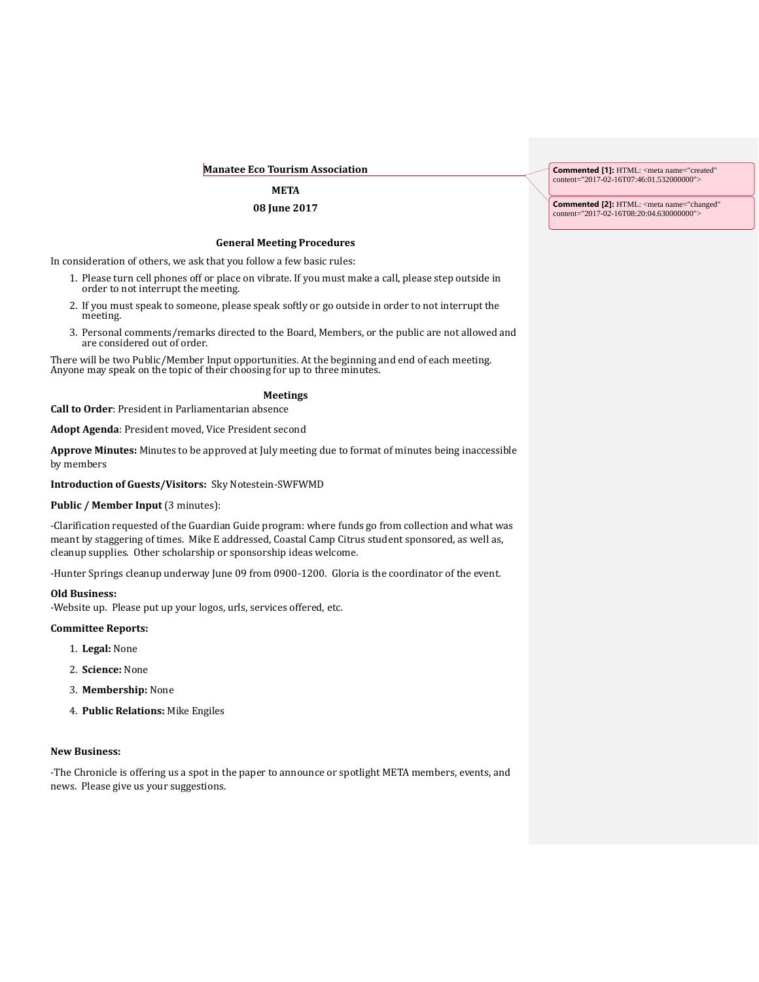### **Manatee Eco Tourism Association**

# **META**

# **08 June 2017**

## **General Meeting Procedures**

In consideration of others, we ask that you follow a few basic rules:

- 1. Please turn cell phones off or place on vibrate. If you must make a call, please step outside in order to not interrupt the meeting.
- 2. If you must speak to someone, please speak softly or go outside in order to not interrupt the meeting.
- 3. Personal comments/remarks directed to the Board, Members, or the public are not allowed and are considered out of order.

There will be two Public/Member Input opportunities. At the beginning and end of each meeting. Anyone may speak on the topic of their choosing for up to three minutes.

## **Meetings**

**Call to Order**: President in Parliamentarian absence

**Adopt Agenda**: President moved, Vice President second

**Approve Minutes:** Minutes to be approved at July meeting due to format of minutes being inaccessible by members

**Introduction of Guests/Visitors:** Sky Notestein-SWFWMD

# **Public / Member Input (3 minutes):**

-Clarification requested of the Guardian Guide program: where funds go from collection and what was meant by staggering of times. Mike E addressed, Coastal Camp Citrus student sponsored, as well as, cleanup supplies. Other scholarship or sponsorship ideas welcome.

-Hunter Springs cleanup underway June 09 from 0900-1200. Gloria is the coordinator of the event.

#### **Old Business:**

-Website up. Please put up your logos, urls, services offered, etc.

### **Committee Reports:**

- 1. **Legal:** None
- 2. **Science:** None
- 3. **Membership:** None
- 4. **Public Relations:** Mike Engiles

## **New Business:**

-The Chronicle is offering us a spot in the paper to announce or spotlight META members, events, and news. Please give us your suggestions.

**Commented [1]:** HTML: <meta name="created" content="2017-02-16T07:46:01.532000000">

**Commented [2]:** HTML: <meta name="changed" content="2017-02-16T08:20:04.630000000">